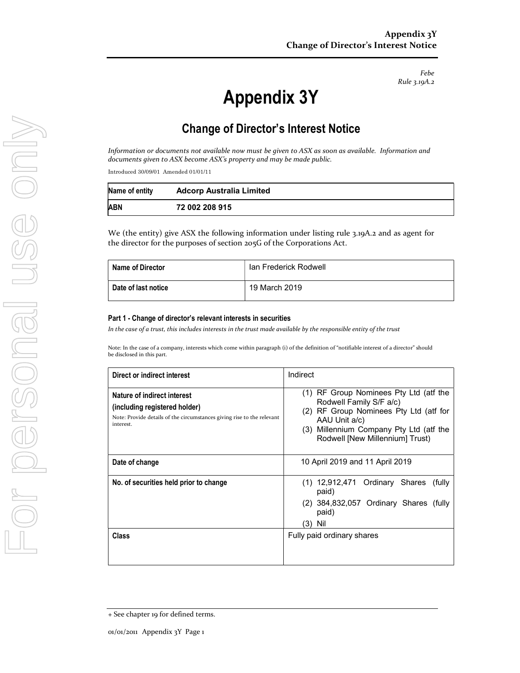Febe Rule 3.19A.2

# Appendix 3Y

# Change of Director's Interest Notice

Information or documents not available now must be given to ASX as soon as available. Information and documents given to ASX become ASX's property and may be made public.

Introduced 30/09/01 Amended 01/01/11

| Name of entity | <b>Adcorp Australia Limited</b> |
|----------------|---------------------------------|
| ABN            | 72 002 208 915                  |

We (the entity) give ASX the following information under listing rule 3.19A.2 and as agent for the director for the purposes of section 205G of the Corporations Act.

| Name of Director    | Ian Frederick Rodwell |
|---------------------|-----------------------|
| Date of last notice | 19 March 2019         |

#### Part 1 - Change of director's relevant interests in securities

In the case of a trust, this includes interests in the trust made available by the responsible entity of the trust

Note: In the case of a company, interests which come within paragraph (i) of the definition of "notifiable interest of a director" should be disclosed in this part.

| Direct or indirect interest                                                                                                                         | Indirect                                                                                                                                                                                                         |  |
|-----------------------------------------------------------------------------------------------------------------------------------------------------|------------------------------------------------------------------------------------------------------------------------------------------------------------------------------------------------------------------|--|
| Nature of indirect interest<br>(including registered holder)<br>Note: Provide details of the circumstances giving rise to the relevant<br>interest. | RF Group Nominees Pty Ltd (atf the<br>(1)<br>Rodwell Family S/F a/c)<br>RF Group Nominees Pty Ltd (atf for<br>(2)<br>AAU Unit a/c)<br>(3) Millennium Company Pty Ltd (atf the<br>Rodwell [New Millennium] Trust) |  |
| Date of change                                                                                                                                      | 10 April 2019 and 11 April 2019                                                                                                                                                                                  |  |
| No. of securities held prior to change                                                                                                              | Ordinary Shares<br>(1) 12,912,471<br>(fully<br>paid)<br>384,832,057 Ordinary Shares (fully<br>(2)<br>paid)<br>(3)<br>Nil                                                                                         |  |
| Class                                                                                                                                               | Fully paid ordinary shares                                                                                                                                                                                       |  |

<sup>+</sup> See chapter 19 for defined terms.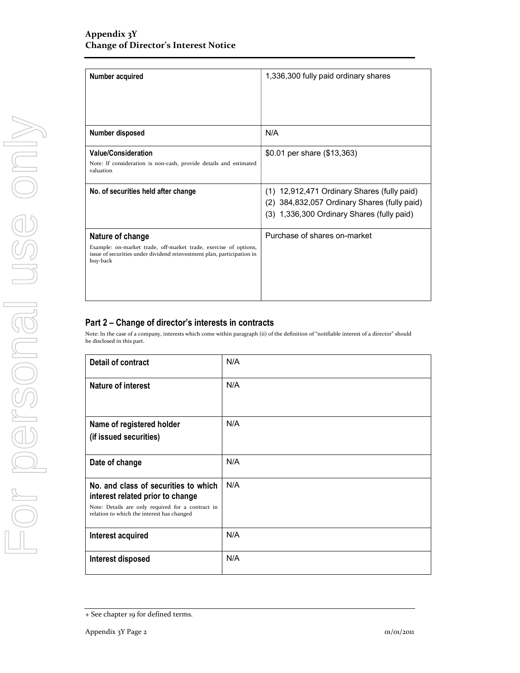| Number acquired                                                                                                                                                            | 1,336,300 fully paid ordinary shares                                                                                                      |
|----------------------------------------------------------------------------------------------------------------------------------------------------------------------------|-------------------------------------------------------------------------------------------------------------------------------------------|
| Number disposed                                                                                                                                                            | N/A                                                                                                                                       |
| <b>Value/Consideration</b><br>Note: If consideration is non-cash, provide details and estimated<br>valuation                                                               | \$0.01 per share (\$13,363)                                                                                                               |
| No. of securities held after change                                                                                                                                        | (1) 12,912,471 Ordinary Shares (fully paid)<br>(2) 384,832,057 Ordinary Shares (fully paid)<br>(3) 1,336,300 Ordinary Shares (fully paid) |
| Nature of change<br>Example: on-market trade, off-market trade, exercise of options,<br>issue of securities under dividend reinvestment plan, participation in<br>buy-back | Purchase of shares on-market                                                                                                              |

## Part 2 – Change of director's interests in contracts

Note: In the case of a company, interests which come within paragraph (ii) of the definition of "notifiable interest of a director" should be disclosed in this part.

| <b>Detail of contract</b>                                                                                                                                                   | N/A |
|-----------------------------------------------------------------------------------------------------------------------------------------------------------------------------|-----|
| Nature of interest                                                                                                                                                          | N/A |
| Name of registered holder<br>(if issued securities)                                                                                                                         | N/A |
| Date of change                                                                                                                                                              | N/A |
| No. and class of securities to which<br>interest related prior to change<br>Note: Details are only required for a contract in<br>relation to which the interest has changed | N/A |
| Interest acquired                                                                                                                                                           | N/A |
| Interest disposed                                                                                                                                                           | N/A |

<sup>+</sup> See chapter 19 for defined terms.